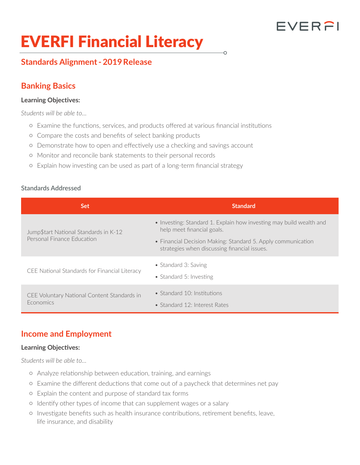# FVERFI

# EVERFI Financial Literacy

# **Standards Alignment - 2019 Release**

# **Banking Basics**

#### **Learning Objectives:**

*Students will be able to…* 

- { Examine the functions, services, and products offered at various financial institutions
- { Compare the costs and benefits of select banking products
- { Demonstrate how to open and effectively use a checking and savings account
- { Monitor and reconcile bank statements to their personal records
- { Explain how investing can be used as part of a long-term financial strategy

#### **Standards Addressed**

| <b>Set</b>                                                          | <b>Standard</b>                                                                                                                                                                                                   |
|---------------------------------------------------------------------|-------------------------------------------------------------------------------------------------------------------------------------------------------------------------------------------------------------------|
| Jump\$tart National Standards in K-12<br>Personal Finance Education | • Investing: Standard 1. Explain how investing may build wealth and<br>help meet financial goals.<br>• Financial Decision Making: Standard 5. Apply communication<br>strategies when discussing financial issues. |
| CEE National Standards for Financial Literacy                       | • Standard 3: Saving<br>• Standard 5: Investing                                                                                                                                                                   |
| CEE Voluntary National Content Standards in<br><b>Economics</b>     | • Standard 10: Institutions<br>• Standard 12: Interest Rates                                                                                                                                                      |

## **Income and Employment**

#### **Learning Objectives:**

*Students will be able to…* 

- { Analyze relationship between education, training, and earnings
- { Examine the different deductions that come out of a paycheck that determines net pay
- { Explain the content and purpose of standard tax forms
- { Identify other types of income that can supplement wages or a salary
- { Investigate benefits such as health insurance contributions, retirement benefits, leave, life insurance, and disability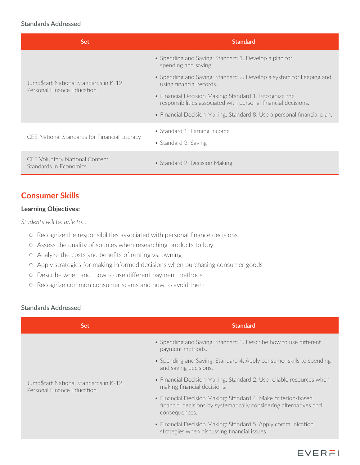#### **Standards Addressed**

| <b>Set</b>                                                          | <b>Standard</b>                                                                                                          |
|---------------------------------------------------------------------|--------------------------------------------------------------------------------------------------------------------------|
| Jump\$tart National Standards in K-12<br>Personal Finance Education | • Spending and Saving: Standard 1. Develop a plan for<br>spending and saving.                                            |
|                                                                     | • Spending and Saving: Standard 2. Develop a system for keeping and<br>using financial records.                          |
|                                                                     | • Financial Decision Making: Standard 1. Recognize the<br>responsibilities associated with personal financial decisions. |
|                                                                     | • Financial Decision Making: Standard 8. Use a personal financial plan.                                                  |
| CEE National Standards for Financial Literacy                       | • Standard 1: Earning Income<br>• Standard 3: Saving                                                                     |
| <b>CEE Voluntary National Content</b><br>Standards in Economics     | • Standard 2: Decision Making                                                                                            |

# **Consumer Skills**

#### **Learning Objectives:**

*Students will be able to…* 

- { Recognize the responsibilities associated with personal finance decisions
- { Assess the quality of sources when researching products to buy
- { Analyze the costs and benefits of renting vs. owning
- { Apply strategies for making informed decisions when purchasing consumer goods
- { Describe when and how to use different payment methods
- { Recognize common consumer scams and how to avoid them

#### **Standards Addressed**

| <b>Set</b>                                                          | <b>Standard</b>                                                                                                                                      |
|---------------------------------------------------------------------|------------------------------------------------------------------------------------------------------------------------------------------------------|
| Jump\$tart National Standards in K-12<br>Personal Finance Education | • Spending and Saving: Standard 3. Describe how to use different<br>payment methods.                                                                 |
|                                                                     | • Spending and Saving: Standard 4. Apply consumer skills to spending<br>and saving decisions.                                                        |
|                                                                     | • Financial Decision Making: Standard 2. Use reliable resources when<br>making financial decisions.                                                  |
|                                                                     | • Financial Decision Making: Standard 4. Make criterion-based<br>financial decisions by systematically considering alternatives and<br>consequences. |
|                                                                     | • Financial Decision Making: Standard 5. Apply communication<br>strategies when discussing financial issues.                                         |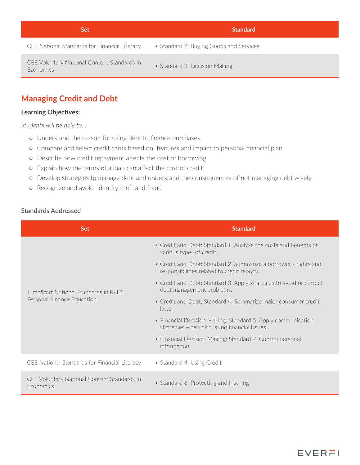| CEE National Standards for Financial Literacy<br>• Standard 2: Buying Goods and Services         |  |
|--------------------------------------------------------------------------------------------------|--|
|                                                                                                  |  |
| CEE Voluntary National Content Standards in<br>• Standard 2: Decision Making<br><b>Economics</b> |  |

# **Managing Credit and Debt**

#### **Learning Objectives:**

*Students will be able to…* 

- { Understand the reason for using debt to finance purchases
- { Compare and select credit cards based on features and impact to personal financial plan
- { Describe how credit repayment affects the cost of borrowing
- { Explain how the terms of a loan can affect the cost of credit
- { Develop strategies to manage debt and understand the consequences of not managing debt wisely
- { Recognize and avoid identity theft and fraud

#### **Standards Addressed**

| <b>Set</b>                                                          | <b>Standard</b>                                                                                                 |
|---------------------------------------------------------------------|-----------------------------------------------------------------------------------------------------------------|
| Jump\$tart National Standards in K-12<br>Personal Finance Education | • Credit and Debt: Standard 1. Analyze the costs and benefits of<br>various types of credit.                    |
|                                                                     | • Credit and Debt: Standard 2. Summarize a borrower's rights and<br>responsibilities related to credit reports. |
|                                                                     | • Credit and Debt: Standard 3. Apply strategies to avoid or correct<br>debt management problems.                |
|                                                                     | • Credit and Debt: Standard 4. Summarize major consumer credit<br>laws.                                         |
|                                                                     | • Financial Decision Making: Standard 5. Apply communication<br>strategies when discussing financial issues.    |
|                                                                     | • Financial Decision Making: Standard 7. Control personal<br>information.                                       |
| CEE National Standards for Financial Literacy                       | • Standard 4: Using Credit                                                                                      |
| CEE Voluntary National Content Standards in<br><b>Economics</b>     | • Standard 6: Protecting and Insuring                                                                           |